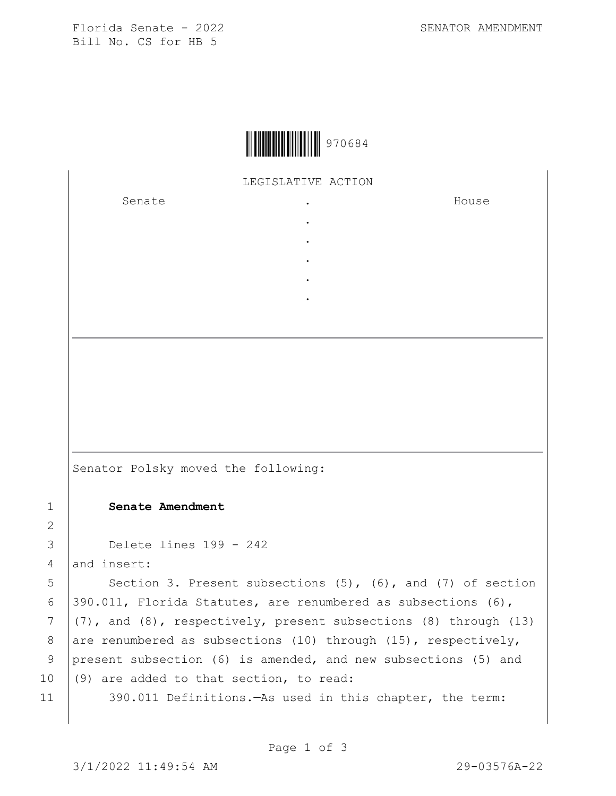Florida Senate - 2022 SENATOR AMENDMENT Bill No. CS for HB 5



## LEGISLATIVE ACTION

. . . . .

Senate .

House

Senator Polsky moved the following:

## 1 **Senate Amendment**

```
3 Delete lines 199 - 242
```
 $4$  and insert:

2

5 Section 3. Present subsections (5), (6), and (7) of section 6  $|390.011$ , Florida Statutes, are renumbered as subsections (6),  $7 (7)$ , and (8), respectively, present subsections (8) through (13) 8 are renumbered as subsections (10) through (15), respectively, 9 present subsection (6) is amended, and new subsections (5) and 10  $(9)$  are added to that section, to read: 11 390.011 Definitions.—As used in this chapter, the term: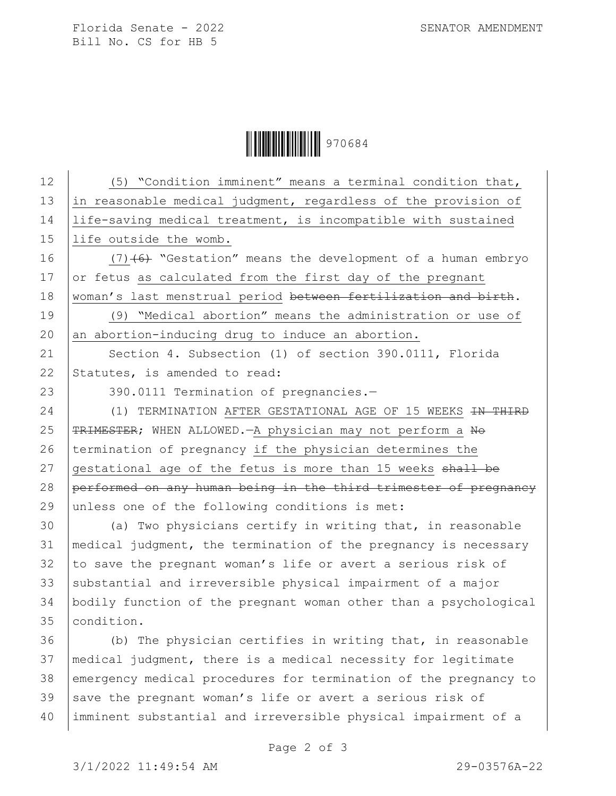Florida Senate - 2022 SENATOR AMENDMENT Bill No. CS for HB 5

**|| || || || || || || || || || || || ||** 970684

12 | (5) "Condition imminent" means a terminal condition that, 13  $\vert$  in reasonable medical judgment, regardless of the provision of 14 life-saving medical treatment, is incompatible with sustained 15 life outside the womb. 16  $(7)$  (6) "Gestation" means the development of a human embryo 17  $\sigma$  or fetus as calculated from the first day of the pregnant 18 | woman's last menstrual period between fertilization and birth. 19 (9) "Medical abortion" means the administration or use of  $20$  an abortion-inducing drug to induce an abortion. 21 | Section 4. Subsection (1) of section 390.0111, Florida 22 Statutes, is amended to read: 23 390.0111 Termination of pregnancies.-24 (1) TERMINATION AFTER GESTATIONAL AGE OF 15 WEEKS <del>IN THIRD</del> 25 | TRIMESTER; WHEN ALLOWED. - A physician may not perform a No 26 termination of pregnancy if the physician determines the 27  $q$  qestational age of the fetus is more than 15 weeks  $shall-be$ 28 performed on any human being in the third trimester of pregnancy 29 unless one of the following conditions is met: 30 (a) Two physicians certify in writing that, in reasonable 31 medical judgment, the termination of the pregnancy is necessary  $32$  to save the pregnant woman's life or avert a serious risk of 33 substantial and irreversible physical impairment of a major 34 bodily function of the pregnant woman other than a psychological 35 condition. 36 (b) The physician certifies in writing that, in reasonable 37 medical judgment, there is a medical necessity for legitimate 38 emergency medical procedures for termination of the pregnancy to 39 save the pregnant woman's life or avert a serious risk of 40 imminent substantial and irreversible physical impairment of a

Page 2 of 3